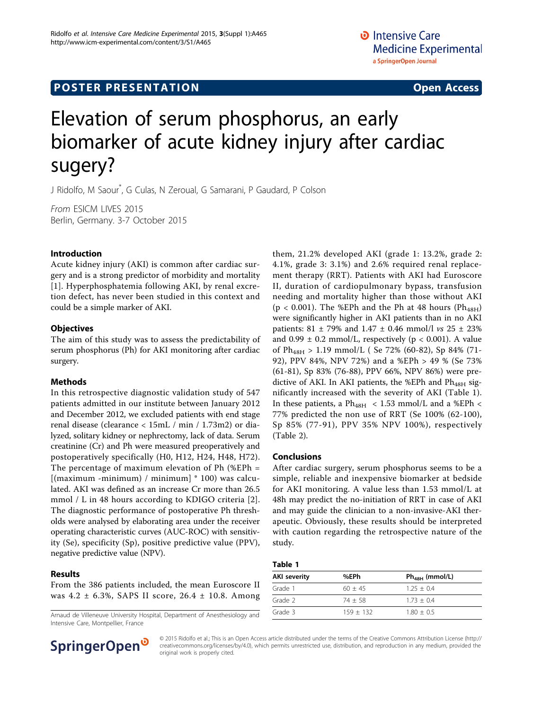# **POSTER PRESENTATION CONSUMING THE SERVICE SERVICE SERVICES**

# Elevation of serum phosphorus, an early biomarker of acute kidney injury after cardiac sugery?

J Ridolfo, M Saour\* , G Culas, N Zeroual, G Samarani, P Gaudard, P Colson

From ESICM LIVES 2015 Berlin, Germany. 3-7 October 2015

### Introduction

Acute kidney injury (AKI) is common after cardiac surgery and is a strong predictor of morbidity and mortality [[1](#page-1-0)]. Hyperphosphatemia following AKI, by renal excretion defect, has never been studied in this context and could be a simple marker of AKI.

#### **Objectives**

The aim of this study was to assess the predictability of serum phosphorus (Ph) for AKI monitoring after cardiac surgery.

#### Methods

In this retrospective diagnostic validation study of 547 patients admitted in our institute between January 2012 and December 2012, we excluded patients with end stage renal disease (clearance < 15mL / min / 1.73m2) or dialyzed, solitary kidney or nephrectomy, lack of data. Serum creatinine (Cr) and Ph were measured preoperatively and postoperatively specifically (H0, H12, H24, H48, H72). The percentage of maximum elevation of Ph (%EPh = [(maximum -minimum) / minimum] \* 100) was calculated. AKI was defined as an increase Cr more than 26.5 mmol / L in 48 hours according to KDIGO criteria [[2](#page-1-0)]. The diagnostic performance of postoperative Ph thresholds were analysed by elaborating area under the receiver operating characteristic curves (AUC-ROC) with sensitivity (Se), specificity (Sp), positive predictive value (PPV), negative predictive value (NPV).

#### Results

From the 386 patients included, the mean Euroscore II was 4.2 ± 6.3%, SAPS II score, 26.4 ± 10.8. Among

Arnaud de Villeneuve University Hospital, Department of Anesthesiology and Intensive Care, Montpellier, France

them, 21.2% developed AKI (grade 1: 13.2%, grade 2: 4.1%, grade 3: 3.1%) and 2.6% required renal replacement therapy (RRT). Patients with AKI had Euroscore II, duration of cardiopulmonary bypass, transfusion needing and mortality higher than those without AKI ( $p < 0.001$ ). The %EPh and the Ph at 48 hours ( $Ph_{48H}$ ) were significantly higher in AKI patients than in no AKI patients:  $81 \pm 79\%$  and  $1.47 \pm 0.46$  mmol/l vs  $25 \pm 23\%$ and  $0.99 \pm 0.2$  mmol/L, respectively (p < 0.001). A value of  $Ph_{48H} > 1.19$  mmol/L ( Se 72% (60-82), Sp 84% (71-92), PPV 84%, NPV 72%) and a %EPh > 49 % (Se 73% (61-81), Sp 83% (76-88), PPV 66%, NPV 86%) were predictive of AKI. In AKI patients, the %EPh and  $Ph<sub>48H</sub>$  significantly increased with the severity of AKI (Table 1). In these patients, a  $Ph_{48H}$  < 1.53 mmol/L and a %EPh < 77% predicted the non use of RRT (Se 100% (62-100), Sp 85% (77-91), PPV 35% NPV 100%), respectively (Table [2\)](#page-1-0).

#### Conclusions

After cardiac surgery, serum phosphorus seems to be a simple, reliable and inexpensive biomarker at bedside for AKI monitoring. A value less than 1.53 mmol/L at 48h may predict the no-initiation of RRT in case of AKI and may guide the clinician to a non-invasive-AKI therapeutic. Obviously, these results should be interpreted with caution regarding the retrospective nature of the study.

#### Table 1

| AKI severity | %EPh        | $Ph48H$ (mmol/L) |
|--------------|-------------|------------------|
| Grade 1      | $60 + 45$   | $1.25 + 0.4$     |
| Grade 2      | $74 + 58$   | $1.73 + 0.4$     |
| Grade 3      | $159 + 132$ | $1.80 + 0.5$     |



© 2015 Ridolfo et al.; This is an Open Access article distributed under the terms of the Creative Commons Attribution License [\(http://](http://creativecommons.org/licenses/by/4.0) [creativecommons.org/licenses/by/4.0](http://creativecommons.org/licenses/by/4.0)), which permits unrestricted use, distribution, and reproduction in any medium, provided the original work is properly cited.